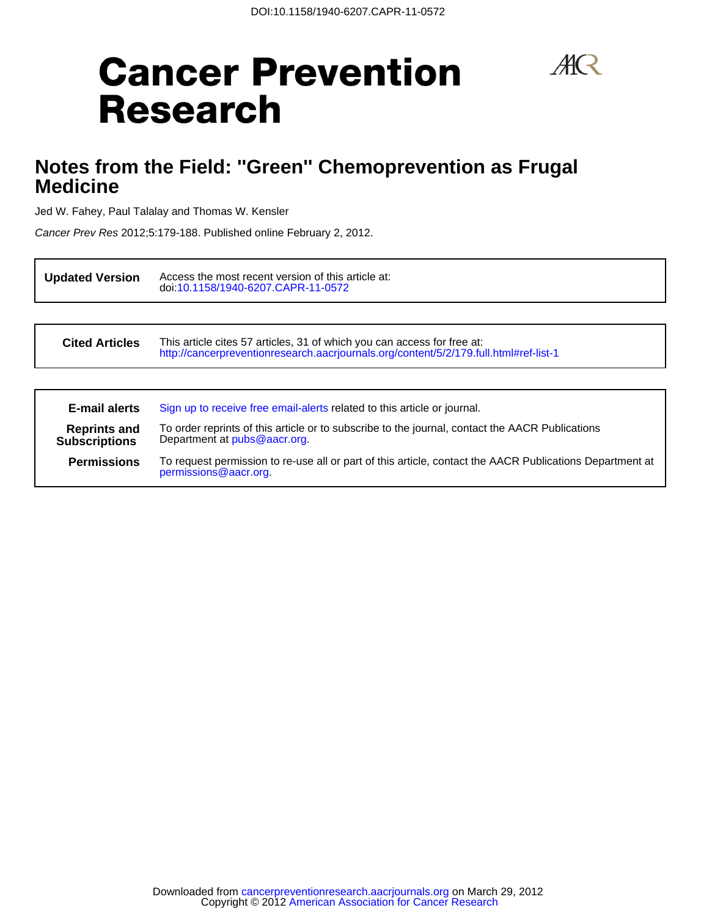

# **Cancer Prevention Research**

# **Medicine Notes from the Field: ''Green'' Chemoprevention as Frugal**

Jed W. Fahey, Paul Talalay and Thomas W. Kensler

Cancer Prev Res 2012;5:179-188. Published online February 2, 2012.

**Updated Version** doi[:10.1158/1940-6207.CAPR-11-0572](http://cancerpreventionresearch.aacrjournals.org/lookup/doi/10.1158/1940-6207.CAPR-11-0572) Access the most recent version of this article at:

**Cited Articles** <http://cancerpreventionresearch.aacrjournals.org/content/5/2/179.full.html#ref-list-1> This article cites 57 articles, 31 of which you can access for free at:

| <b>E-mail alerts</b>                        | Sign up to receive free email-alerts related to this article or journal.                                                          |
|---------------------------------------------|-----------------------------------------------------------------------------------------------------------------------------------|
| <b>Reprints and</b><br><b>Subscriptions</b> | To order reprints of this article or to subscribe to the journal, contact the AACR Publications<br>Department at pubs@aacr.org.   |
| <b>Permissions</b>                          | To request permission to re-use all or part of this article, contact the AACR Publications Department at<br>permissions@aacr.org. |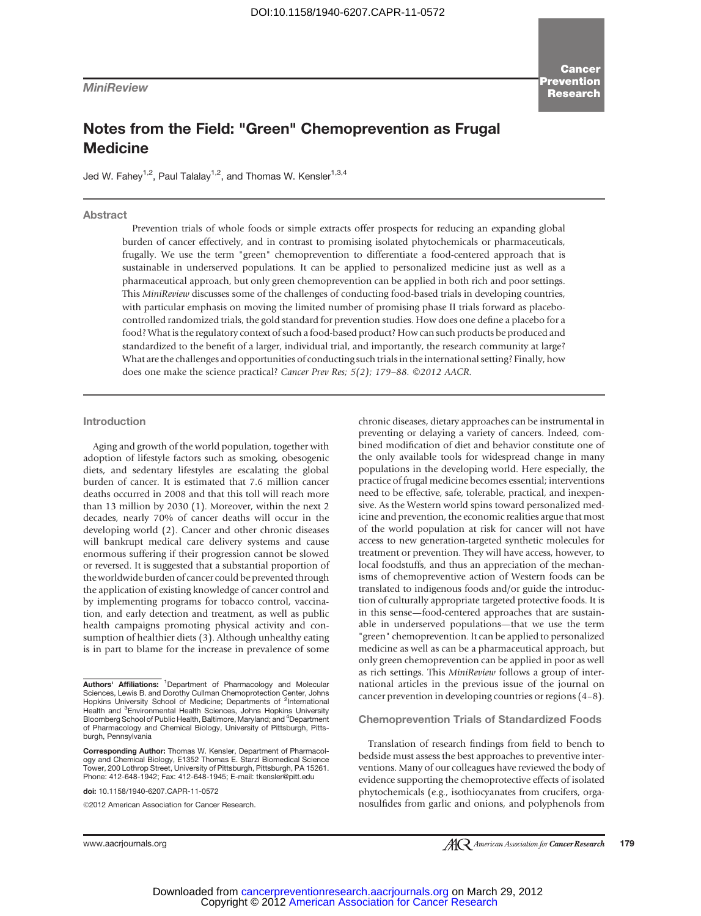# Notes from the Field: "Green" Chemoprevention as Frugal **Medicine**

Jed W. Fahey<sup>1,2</sup>, Paul Talalay<sup>1,2</sup>, and Thomas W. Kensler<sup>1,3,4</sup>

## Abstract

Prevention trials of whole foods or simple extracts offer prospects for reducing an expanding global burden of cancer effectively, and in contrast to promising isolated phytochemicals or pharmaceuticals, frugally. We use the term "green" chemoprevention to differentiate a food-centered approach that is sustainable in underserved populations. It can be applied to personalized medicine just as well as a pharmaceutical approach, but only green chemoprevention can be applied in both rich and poor settings. This MiniReview discusses some of the challenges of conducting food-based trials in developing countries, with particular emphasis on moving the limited number of promising phase II trials forward as placebocontrolled randomized trials, the gold standard for prevention studies. How does one define a placebo for a food? What is the regulatory context of such a food-based product? How can such products be produced and standardized to the benefit of a larger, individual trial, and importantly, the research community at large? What are the challenges and opportunities of conducting such trials in the international setting? Finally, how does one make the science practical? Cancer Prev Res; 5(2); 179-88. ©2012 AACR.

# Introduction

Aging and growth of the world population, together with adoption of lifestyle factors such as smoking, obesogenic diets, and sedentary lifestyles are escalating the global burden of cancer. It is estimated that 7.6 million cancer deaths occurred in 2008 and that this toll will reach more than 13 million by 2030 (1). Moreover, within the next 2 decades, nearly 70% of cancer deaths will occur in the developing world (2). Cancer and other chronic diseases will bankrupt medical care delivery systems and cause enormous suffering if their progression cannot be slowed or reversed. It is suggested that a substantial proportion of the worldwide burden of cancer could be prevented through the application of existing knowledge of cancer control and by implementing programs for tobacco control, vaccination, and early detection and treatment, as well as public health campaigns promoting physical activity and consumption of healthier diets (3). Although unhealthy eating is in part to blame for the increase in prevalence of some

doi: 10.1158/1940-6207.CAPR-11-0572

2012 American Association for Cancer Research.

chronic diseases, dietary approaches can be instrumental in preventing or delaying a variety of cancers. Indeed, combined modification of diet and behavior constitute one of the only available tools for widespread change in many populations in the developing world. Here especially, the practice of frugal medicine becomes essential; interventions need to be effective, safe, tolerable, practical, and inexpensive. As the Western world spins toward personalized medicine and prevention, the economic realities argue that most of the world population at risk for cancer will not have access to new generation-targeted synthetic molecules for treatment or prevention. They will have access, however, to local foodstuffs, and thus an appreciation of the mechanisms of chemopreventive action of Western foods can be translated to indigenous foods and/or guide the introduction of culturally appropriate targeted protective foods. It is in this sense—food-centered approaches that are sustainable in underserved populations—that we use the term "green" chemoprevention. It can be applied to personalized medicine as well as can be a pharmaceutical approach, but only green chemoprevention can be applied in poor as well as rich settings. This MiniReview follows a group of international articles in the previous issue of the journal on cancer prevention in developing countries or regions (4–8).

Chemoprevention Trials of Standardized Foods

Translation of research findings from field to bench to bedside must assess the best approaches to preventive interventions. Many of our colleagues have reviewed the body of evidence supporting the chemoprotective effects of isolated phytochemicals (e.g., isothiocyanates from crucifers, organosulfides from garlic and onions, and polyphenols from

Authors' Affiliations: <sup>1</sup>Department of Pharmacology and Molecular Sciences, Lewis B. and Dorothy Cullman Chemoprotection Center, Johns Hopkins University School of Medicine; Departments of <sup>2</sup>International Health and <sup>3</sup>Environmental Health Sciences, Johns Hopkins University Bloomberg School of Public Health, Baltimore, Maryland; and <sup>4</sup>Department of Pharmacology and Chemical Biology, University of Pittsburgh, Pittsburgh, Pennsylvania

Corresponding Author: Thomas W. Kensler, Department of Pharmacology and Chemical Biology, E1352 Thomas E. Starzl Biomedical Science Tower, 200 Lothrop Street, University of Pittsburgh, Pittsburgh, PA 15261. Phone: 412-648-1942; Fax: 412-648-1945; E-mail: tkensler@pitt.edu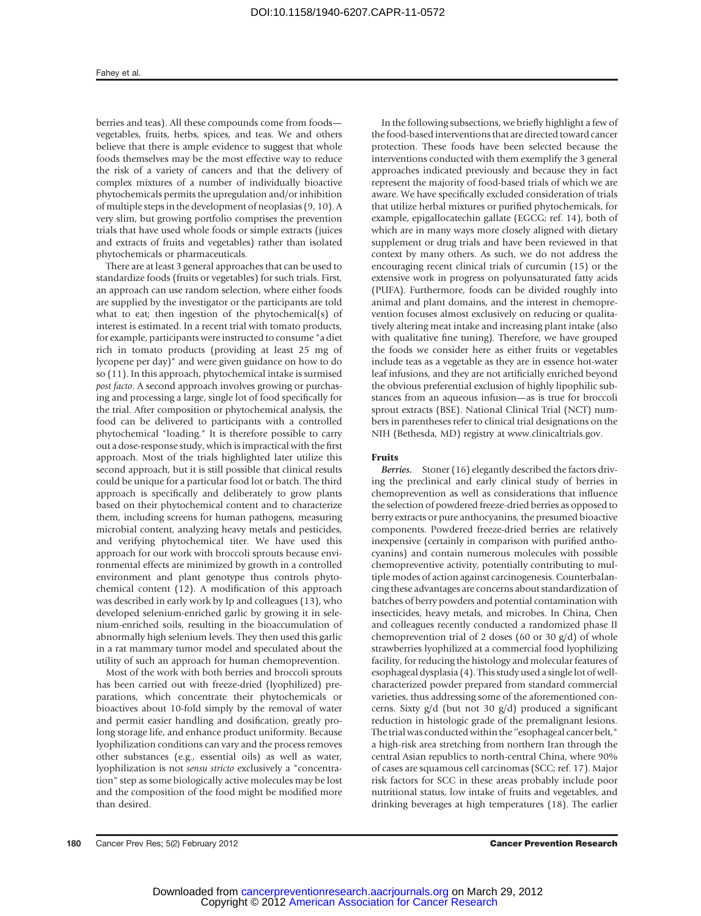berries and teas). All these compounds come from foods vegetables, fruits, herbs, spices, and teas. We and others believe that there is ample evidence to suggest that whole foods themselves may be the most effective way to reduce the risk of a variety of cancers and that the delivery of complex mixtures of a number of individually bioactive phytochemicals permits the upregulation and/or inhibition of multiple steps in the development of neoplasias (9, 10). A very slim, but growing portfolio comprises the prevention trials that have used whole foods or simple extracts (juices and extracts of fruits and vegetables) rather than isolated phytochemicals or pharmaceuticals.

There are at least 3 general approaches that can be used to standardize foods (fruits or vegetables) for such trials. First, an approach can use random selection, where either foods are supplied by the investigator or the participants are told what to eat; then ingestion of the phytochemical(s) of interest is estimated. In a recent trial with tomato products, for example, participants were instructed to consume "a diet rich in tomato products (providing at least 25 mg of lycopene per day)" and were given guidance on how to do so (11). In this approach, phytochemical intake is surmised post facto. A second approach involves growing or purchasing and processing a large, single lot of food specifically for the trial. After composition or phytochemical analysis, the food can be delivered to participants with a controlled phytochemical "loading." It is therefore possible to carry out a dose-response study, which is impractical with the first approach. Most of the trials highlighted later utilize this second approach, but it is still possible that clinical results could be unique for a particular food lot or batch. The third approach is specifically and deliberately to grow plants based on their phytochemical content and to characterize them, including screens for human pathogens, measuring microbial content, analyzing heavy metals and pesticides, and verifying phytochemical titer. We have used this approach for our work with broccoli sprouts because environmental effects are minimized by growth in a controlled environment and plant genotype thus controls phytochemical content (12). A modification of this approach was described in early work by Ip and colleagues (13), who developed selenium-enriched garlic by growing it in selenium-enriched soils, resulting in the bioaccumulation of abnormally high selenium levels. They then used this garlic in a rat mammary tumor model and speculated about the utility of such an approach for human chemoprevention.

Most of the work with both berries and broccoli sprouts has been carried out with freeze-dried (lyophilized) preparations, which concentrate their phytochemicals or bioactives about 10-fold simply by the removal of water and permit easier handling and dosification, greatly prolong storage life, and enhance product uniformity. Because lyophilization conditions can vary and the process removes other substances (e.g., essential oils) as well as water, lyophilization is not sensu stricto exclusively a "concentration" step as some biologically active molecules may be lost and the composition of the food might be modified more than desired.

In the following subsections, we briefly highlight a few of the food-based interventions that are directed toward cancer protection. These foods have been selected because the interventions conducted with them exemplify the 3 general approaches indicated previously and because they in fact represent the majority of food-based trials of which we are aware. We have specifically excluded consideration of trials that utilize herbal mixtures or purified phytochemicals, for example, epigallocatechin gallate (EGCG; ref. 14), both of which are in many ways more closely aligned with dietary supplement or drug trials and have been reviewed in that context by many others. As such, we do not address the encouraging recent clinical trials of curcumin (15) or the extensive work in progress on polyunsaturated fatty acids (PUFA). Furthermore, foods can be divided roughly into animal and plant domains, and the interest in chemoprevention focuses almost exclusively on reducing or qualitatively altering meat intake and increasing plant intake (also with qualitative fine tuning). Therefore, we have grouped the foods we consider here as either fruits or vegetables include teas as a vegetable as they are in essence hot-water leaf infusions, and they are not artificially enriched beyond the obvious preferential exclusion of highly lipophilic substances from an aqueous infusion—as is true for broccoli sprout extracts (BSE). National Clinical Trial (NCT) numbers in parentheses refer to clinical trial designations on the NIH (Bethesda, MD) registry at www.clinicaltrials.gov.

## Fruits

Berries. Stoner (16) elegantly described the factors driving the preclinical and early clinical study of berries in chemoprevention as well as considerations that influence the selection of powdered freeze-dried berries as opposed to berry extracts or pure anthocyanins, the presumed bioactive components. Powdered freeze-dried berries are relatively inexpensive (certainly in comparison with purified anthocyanins) and contain numerous molecules with possible chemopreventive activity, potentially contributing to multiple modes of action against carcinogenesis. Counterbalancing these advantages are concerns about standardization of batches of berry powders and potential contamination with insecticides, heavy metals, and microbes. In China, Chen and colleagues recently conducted a randomized phase II chemoprevention trial of 2 doses (60 or 30 g/d) of whole strawberries lyophilized at a commercial food lyophilizing facility, for reducing the histology and molecular features of esophageal dysplasia (4). This study used a single lot of wellcharacterized powder prepared from standard commercial varieties, thus addressing some of the aforementioned concerns. Sixty g/d (but not 30 g/d) produced a significant reduction in histologic grade of the premalignant lesions. The trial was conducted within the ''esophageal cancer belt," a high-risk area stretching from northern Iran through the central Asian republics to north-central China, where 90% of cases are squamous cell carcinomas (SCC; ref. 17). Major risk factors for SCC in these areas probably include poor nutritional status, low intake of fruits and vegetables, and drinking beverages at high temperatures (18). The earlier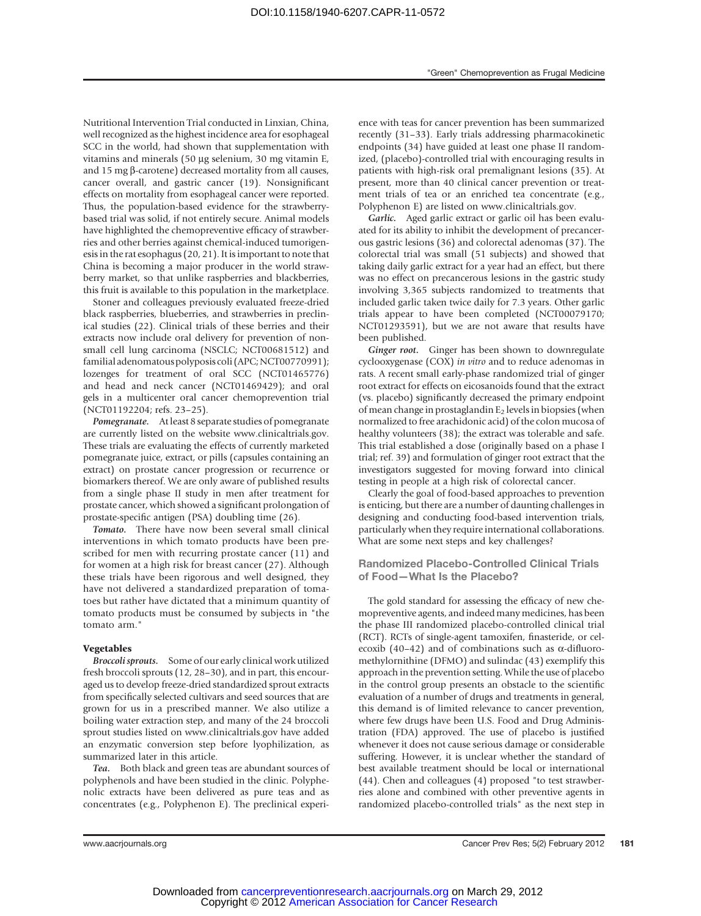Nutritional Intervention Trial conducted in Linxian, China, well recognized as the highest incidence area for esophageal SCC in the world, had shown that supplementation with vitamins and minerals (50 mg selenium, 30 mg vitamin E, and 15 mg b-carotene) decreased mortality from all causes, cancer overall, and gastric cancer (19). Nonsignificant effects on mortality from esophageal cancer were reported. Thus, the population-based evidence for the strawberrybased trial was solid, if not entirely secure. Animal models have highlighted the chemopreventive efficacy of strawberries and other berries against chemical-induced tumorigenesis in the rat esophagus (20, 21). It is important to note that China is becoming a major producer in the world strawberry market, so that unlike raspberries and blackberries, this fruit is available to this population in the marketplace.

Stoner and colleagues previously evaluated freeze-dried black raspberries, blueberries, and strawberries in preclinical studies (22). Clinical trials of these berries and their extracts now include oral delivery for prevention of nonsmall cell lung carcinoma (NSCLC; NCT00681512) and familial adenomatous polyposis coli (APC; NCT00770991); lozenges for treatment of oral SCC (NCT01465776) and head and neck cancer (NCT01469429); and oral gels in a multicenter oral cancer chemoprevention trial (NCT01192204; refs. 23–25).

Pomegranate. At least 8 separate studies of pomegranate are currently listed on the website www.clinicaltrials.gov. These trials are evaluating the effects of currently marketed pomegranate juice, extract, or pills (capsules containing an extract) on prostate cancer progression or recurrence or biomarkers thereof. We are only aware of published results from a single phase II study in men after treatment for prostate cancer, which showed a significant prolongation of prostate-specific antigen (PSA) doubling time (26).

Tomato. There have now been several small clinical interventions in which tomato products have been prescribed for men with recurring prostate cancer (11) and for women at a high risk for breast cancer (27). Although these trials have been rigorous and well designed, they have not delivered a standardized preparation of tomatoes but rather have dictated that a minimum quantity of tomato products must be consumed by subjects in "the tomato arm."

# Vegetables

Broccoli sprouts. Some of our early clinical work utilized fresh broccoli sprouts (12, 28–30), and in part, this encouraged us to develop freeze-dried standardized sprout extracts from specifically selected cultivars and seed sources that are grown for us in a prescribed manner. We also utilize a boiling water extraction step, and many of the 24 broccoli sprout studies listed on www.clinicaltrials.gov have added an enzymatic conversion step before lyophilization, as summarized later in this article.

Tea. Both black and green teas are abundant sources of polyphenols and have been studied in the clinic. Polyphenolic extracts have been delivered as pure teas and as concentrates (e.g., Polyphenon E). The preclinical experience with teas for cancer prevention has been summarized recently (31–33). Early trials addressing pharmacokinetic endpoints (34) have guided at least one phase II randomized, (placebo)-controlled trial with encouraging results in patients with high-risk oral premalignant lesions (35). At present, more than 40 clinical cancer prevention or treatment trials of tea or an enriched tea concentrate (e.g., Polyphenon E) are listed on www.clinicaltrials.gov.

Garlic. Aged garlic extract or garlic oil has been evaluated for its ability to inhibit the development of precancerous gastric lesions (36) and colorectal adenomas (37). The colorectal trial was small (51 subjects) and showed that taking daily garlic extract for a year had an effect, but there was no effect on precancerous lesions in the gastric study involving 3,365 subjects randomized to treatments that included garlic taken twice daily for 7.3 years. Other garlic trials appear to have been completed (NCT00079170; NCT01293591), but we are not aware that results have been published.

Ginger root. Ginger has been shown to downregulate cyclooxygenase (COX) in vitro and to reduce adenomas in rats. A recent small early-phase randomized trial of ginger root extract for effects on eicosanoids found that the extract (vs. placebo) significantly decreased the primary endpoint of mean change in prostaglandin  $E_2$  levels in biopsies (when normalized to free arachidonic acid) of the colon mucosa of healthy volunteers (38); the extract was tolerable and safe. This trial established a dose (originally based on a phase I trial; ref. 39) and formulation of ginger root extract that the investigators suggested for moving forward into clinical testing in people at a high risk of colorectal cancer.

Clearly the goal of food-based approaches to prevention is enticing, but there are a number of daunting challenges in designing and conducting food-based intervention trials, particularly when they require international collaborations. What are some next steps and key challenges?

# Randomized Placebo-Controlled Clinical Trials of Food—What Is the Placebo?

The gold standard for assessing the efficacy of new chemopreventive agents, and indeed many medicines, has been the phase III randomized placebo-controlled clinical trial (RCT). RCTs of single-agent tamoxifen, finasteride, or celecoxib (40–42) and of combinations such as  $\alpha$ -difluoromethylornithine (DFMO) and sulindac (43) exemplify this approach in the prevention setting. While the use of placebo in the control group presents an obstacle to the scientific evaluation of a number of drugs and treatments in general, this demand is of limited relevance to cancer prevention, where few drugs have been U.S. Food and Drug Administration (FDA) approved. The use of placebo is justified whenever it does not cause serious damage or considerable suffering. However, it is unclear whether the standard of best available treatment should be local or international (44). Chen and colleagues (4) proposed "to test strawberries alone and combined with other preventive agents in randomized placebo-controlled trials" as the next step in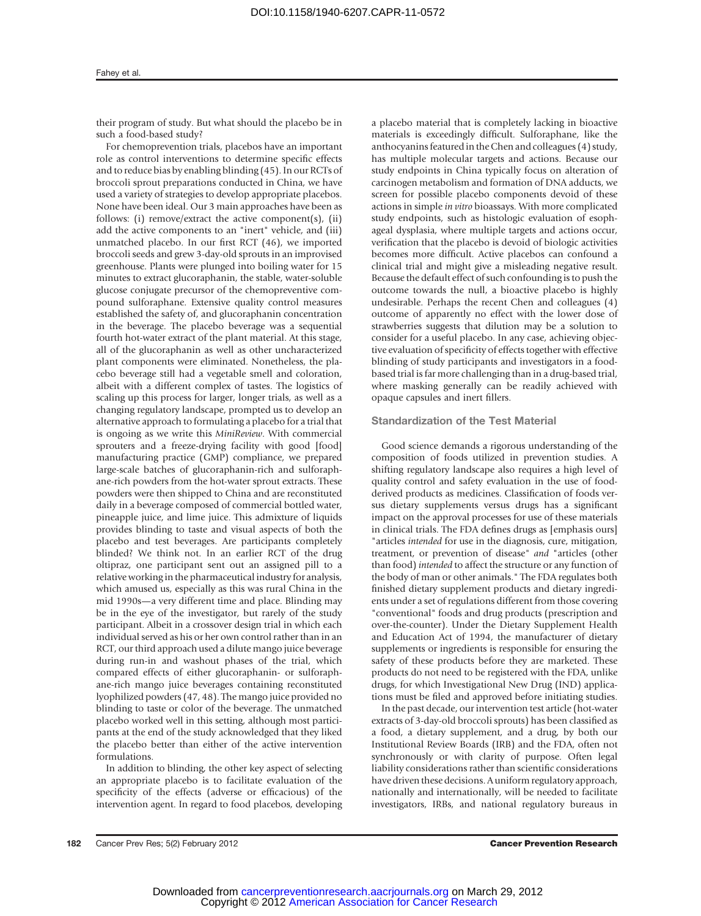their program of study. But what should the placebo be in such a food-based study?

For chemoprevention trials, placebos have an important role as control interventions to determine specific effects and to reduce bias by enabling blinding (45). In our RCTs of broccoli sprout preparations conducted in China, we have used a variety of strategies to develop appropriate placebos. None have been ideal. Our 3 main approaches have been as follows: (i) remove/extract the active component(s), (ii) add the active components to an "inert" vehicle, and (iii) unmatched placebo. In our first RCT (46), we imported broccoli seeds and grew 3-day-old sprouts in an improvised greenhouse. Plants were plunged into boiling water for 15 minutes to extract glucoraphanin, the stable, water-soluble glucose conjugate precursor of the chemopreventive compound sulforaphane. Extensive quality control measures established the safety of, and glucoraphanin concentration in the beverage. The placebo beverage was a sequential fourth hot-water extract of the plant material. At this stage, all of the glucoraphanin as well as other uncharacterized plant components were eliminated. Nonetheless, the placebo beverage still had a vegetable smell and coloration, albeit with a different complex of tastes. The logistics of scaling up this process for larger, longer trials, as well as a changing regulatory landscape, prompted us to develop an alternative approach to formulating a placebo for a trial that is ongoing as we write this MiniReview. With commercial sprouters and a freeze-drying facility with good [food] manufacturing practice (GMP) compliance, we prepared large-scale batches of glucoraphanin-rich and sulforaphane-rich powders from the hot-water sprout extracts. These powders were then shipped to China and are reconstituted daily in a beverage composed of commercial bottled water, pineapple juice, and lime juice. This admixture of liquids provides blinding to taste and visual aspects of both the placebo and test beverages. Are participants completely blinded? We think not. In an earlier RCT of the drug oltipraz, one participant sent out an assigned pill to a relative working in the pharmaceutical industry for analysis, which amused us, especially as this was rural China in the mid 1990s—a very different time and place. Blinding may be in the eye of the investigator, but rarely of the study participant. Albeit in a crossover design trial in which each individual served as his or her own control rather than in an RCT, our third approach used a dilute mango juice beverage during run-in and washout phases of the trial, which compared effects of either glucoraphanin- or sulforaphane-rich mango juice beverages containing reconstituted lyophilized powders (47, 48). The mango juice provided no blinding to taste or color of the beverage. The unmatched placebo worked well in this setting, although most participants at the end of the study acknowledged that they liked the placebo better than either of the active intervention formulations.

In addition to blinding, the other key aspect of selecting an appropriate placebo is to facilitate evaluation of the specificity of the effects (adverse or efficacious) of the intervention agent. In regard to food placebos, developing a placebo material that is completely lacking in bioactive materials is exceedingly difficult. Sulforaphane, like the anthocyanins featured in the Chen and colleagues (4) study, has multiple molecular targets and actions. Because our study endpoints in China typically focus on alteration of carcinogen metabolism and formation of DNA adducts, we screen for possible placebo components devoid of these actions in simple in vitro bioassays. With more complicated study endpoints, such as histologic evaluation of esophageal dysplasia, where multiple targets and actions occur, verification that the placebo is devoid of biologic activities becomes more difficult. Active placebos can confound a clinical trial and might give a misleading negative result. Because the default effect of such confounding is to push the outcome towards the null, a bioactive placebo is highly undesirable. Perhaps the recent Chen and colleagues (4) outcome of apparently no effect with the lower dose of strawberries suggests that dilution may be a solution to consider for a useful placebo. In any case, achieving objective evaluation of specificity of effects together with effective blinding of study participants and investigators in a foodbased trial is far more challenging than in a drug-based trial, where masking generally can be readily achieved with opaque capsules and inert fillers.

# Standardization of the Test Material

Good science demands a rigorous understanding of the composition of foods utilized in prevention studies. A shifting regulatory landscape also requires a high level of quality control and safety evaluation in the use of foodderived products as medicines. Classification of foods versus dietary supplements versus drugs has a significant impact on the approval processes for use of these materials in clinical trials. The FDA defines drugs as [emphasis ours] "articles intended for use in the diagnosis, cure, mitigation, treatment, or prevention of disease" and "articles (other than food) intended to affect the structure or any function of the body of man or other animals." The FDA regulates both finished dietary supplement products and dietary ingredients under a set of regulations different from those covering "conventional" foods and drug products (prescription and over-the-counter). Under the Dietary Supplement Health and Education Act of 1994, the manufacturer of dietary supplements or ingredients is responsible for ensuring the safety of these products before they are marketed. These products do not need to be registered with the FDA, unlike drugs, for which Investigational New Drug (IND) applications must be filed and approved before initiating studies.

In the past decade, our intervention test article (hot-water extracts of 3-day-old broccoli sprouts) has been classified as a food, a dietary supplement, and a drug, by both our Institutional Review Boards (IRB) and the FDA, often not synchronously or with clarity of purpose. Often legal liability considerations rather than scientific considerations have driven these decisions. A uniform regulatory approach, nationally and internationally, will be needed to facilitate investigators, IRBs, and national regulatory bureaus in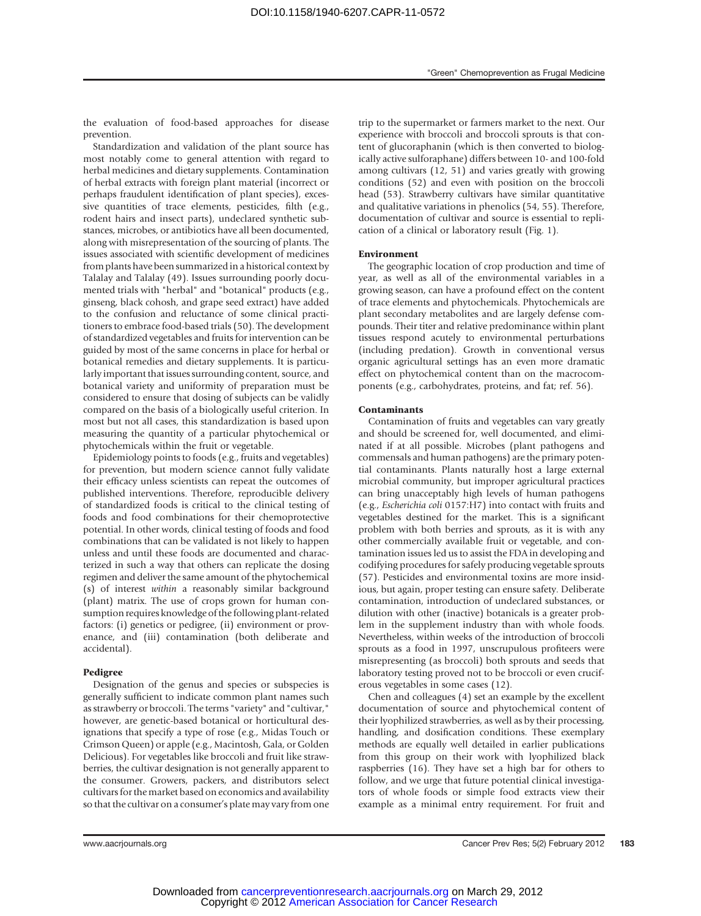the evaluation of food-based approaches for disease prevention.

Standardization and validation of the plant source has most notably come to general attention with regard to herbal medicines and dietary supplements. Contamination of herbal extracts with foreign plant material (incorrect or perhaps fraudulent identification of plant species), excessive quantities of trace elements, pesticides, filth (e.g., rodent hairs and insect parts), undeclared synthetic substances, microbes, or antibiotics have all been documented, along with misrepresentation of the sourcing of plants. The issues associated with scientific development of medicines from plants have been summarized in a historical context by Talalay and Talalay (49). Issues surrounding poorly documented trials with "herbal" and "botanical" products (e.g., ginseng, black cohosh, and grape seed extract) have added to the confusion and reluctance of some clinical practitioners to embrace food-based trials (50). The development of standardized vegetables and fruits for intervention can be guided by most of the same concerns in place for herbal or botanical remedies and dietary supplements. It is particularly important that issues surrounding content, source, and botanical variety and uniformity of preparation must be considered to ensure that dosing of subjects can be validly compared on the basis of a biologically useful criterion. In most but not all cases, this standardization is based upon measuring the quantity of a particular phytochemical or phytochemicals within the fruit or vegetable.

Epidemiology points to foods (e.g., fruits and vegetables) for prevention, but modern science cannot fully validate their efficacy unless scientists can repeat the outcomes of published interventions. Therefore, reproducible delivery of standardized foods is critical to the clinical testing of foods and food combinations for their chemoprotective potential. In other words, clinical testing of foods and food combinations that can be validated is not likely to happen unless and until these foods are documented and characterized in such a way that others can replicate the dosing regimen and deliver the same amount of the phytochemical (s) of interest within a reasonably similar background (plant) matrix. The use of crops grown for human consumption requires knowledge of the following plant-related factors: (i) genetics or pedigree, (ii) environment or provenance, and (iii) contamination (both deliberate and accidental).

#### Pedigree

Designation of the genus and species or subspecies is generally sufficient to indicate common plant names such as strawberry or broccoli. The terms "variety" and "cultivar," however, are genetic-based botanical or horticultural designations that specify a type of rose (e.g., Midas Touch or Crimson Queen) or apple (e.g., Macintosh, Gala, or Golden Delicious). For vegetables like broccoli and fruit like strawberries, the cultivar designation is not generally apparent to the consumer. Growers, packers, and distributors select cultivars for the market based on economics and availability so that the cultivar on a consumer's plate may vary from one trip to the supermarket or farmers market to the next. Our experience with broccoli and broccoli sprouts is that content of glucoraphanin (which is then converted to biologically active sulforaphane) differs between 10- and 100-fold among cultivars (12, 51) and varies greatly with growing conditions (52) and even with position on the broccoli head (53). Strawberry cultivars have similar quantitative and qualitative variations in phenolics (54, 55). Therefore, documentation of cultivar and source is essential to replication of a clinical or laboratory result (Fig. 1).

#### Environment

The geographic location of crop production and time of year, as well as all of the environmental variables in a growing season, can have a profound effect on the content of trace elements and phytochemicals. Phytochemicals are plant secondary metabolites and are largely defense compounds. Their titer and relative predominance within plant tissues respond acutely to environmental perturbations (including predation). Growth in conventional versus organic agricultural settings has an even more dramatic effect on phytochemical content than on the macrocomponents (e.g., carbohydrates, proteins, and fat; ref. 56).

#### Contaminants

Contamination of fruits and vegetables can vary greatly and should be screened for, well documented, and eliminated if at all possible. Microbes (plant pathogens and commensals and human pathogens) are the primary potential contaminants. Plants naturally host a large external microbial community, but improper agricultural practices can bring unacceptably high levels of human pathogens (e.g., Escherichia coli 0157:H7) into contact with fruits and vegetables destined for the market. This is a significant problem with both berries and sprouts, as it is with any other commercially available fruit or vegetable, and contamination issues led us to assist the FDA in developing and codifying procedures for safely producing vegetable sprouts (57). Pesticides and environmental toxins are more insidious, but again, proper testing can ensure safety. Deliberate contamination, introduction of undeclared substances, or dilution with other (inactive) botanicals is a greater problem in the supplement industry than with whole foods. Nevertheless, within weeks of the introduction of broccoli sprouts as a food in 1997, unscrupulous profiteers were misrepresenting (as broccoli) both sprouts and seeds that laboratory testing proved not to be broccoli or even cruciferous vegetables in some cases (12).

Chen and colleagues (4) set an example by the excellent documentation of source and phytochemical content of their lyophilized strawberries, as well as by their processing, handling, and dosification conditions. These exemplary methods are equally well detailed in earlier publications from this group on their work with lyophilized black raspberries (16). They have set a high bar for others to follow, and we urge that future potential clinical investigators of whole foods or simple food extracts view their example as a minimal entry requirement. For fruit and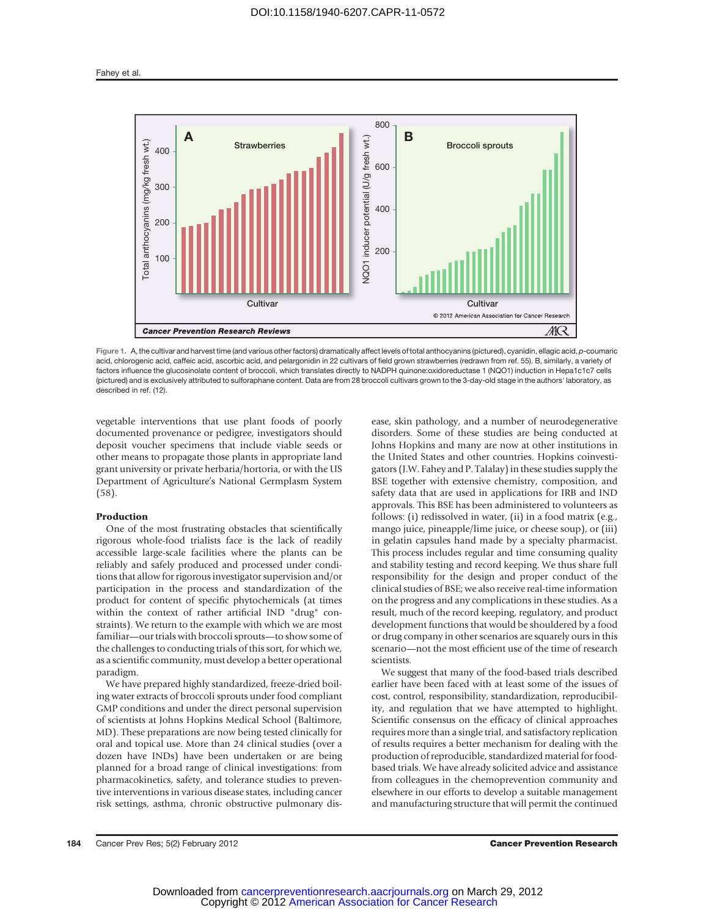

Figure 1. A, the cultivar and harvest time (and various other factors) dramatically affect levels of total anthocyanins (pictured), cyanidin, ellagic acid, p-coumaric acid, chlorogenic acid, caffeic acid, ascorbic acid, and pelargonidin in 22 cultivars of field grown strawberries (redrawn from ref. 55). B, similarly, a variety of factors influence the glucosinolate content of broccoli, which translates directly to NADPH quinone:oxidoreductase 1 (NQO1) induction in Hepa1c1c7 cells (pictured) and is exclusively attributed to sulforaphane content. Data are from 28 broccoli cultivars grown to the 3-day-old stage in the authors' laboratory, as described in ref. (12).

vegetable interventions that use plant foods of poorly documented provenance or pedigree, investigators should deposit voucher specimens that include viable seeds or other means to propagate those plants in appropriate land grant university or private herbaria/hortoria, or with the US Department of Agriculture's National Germplasm System (58).

#### Production

One of the most frustrating obstacles that scientifically rigorous whole-food trialists face is the lack of readily accessible large-scale facilities where the plants can be reliably and safely produced and processed under conditions that allow for rigorous investigator supervision and/or participation in the process and standardization of the product for content of specific phytochemicals (at times within the context of rather artificial IND "drug" constraints). We return to the example with which we are most familiar—our trials with broccoli sprouts—to show some of the challenges to conducting trials of this sort, for which we, as a scientific community, must develop a better operational paradigm.

We have prepared highly standardized, freeze-dried boiling water extracts of broccoli sprouts under food compliant GMP conditions and under the direct personal supervision of scientists at Johns Hopkins Medical School (Baltimore, MD). These preparations are now being tested clinically for oral and topical use. More than 24 clinical studies (over a dozen have INDs) have been undertaken or are being planned for a broad range of clinical investigations: from pharmacokinetics, safety, and tolerance studies to preventive interventions in various disease states, including cancer risk settings, asthma, chronic obstructive pulmonary disease, skin pathology, and a number of neurodegenerative disorders. Some of these studies are being conducted at Johns Hopkins and many are now at other institutions in the United States and other countries. Hopkins coinvestigators (J.W. Fahey and P. Talalay) in these studies supply the BSE together with extensive chemistry, composition, and safety data that are used in applications for IRB and IND approvals. This BSE has been administered to volunteers as follows: (i) redissolved in water, (ii) in a food matrix (e.g., mango juice, pineapple/lime juice, or cheese soup), or (iii) in gelatin capsules hand made by a specialty pharmacist. This process includes regular and time consuming quality and stability testing and record keeping. We thus share full responsibility for the design and proper conduct of the clinical studies of BSE; we also receive real-time information on the progress and any complications in these studies. As a result, much of the record keeping, regulatory, and product development functions that would be shouldered by a food or drug company in other scenarios are squarely ours in this scenario—not the most efficient use of the time of research scientists.

We suggest that many of the food-based trials described earlier have been faced with at least some of the issues of cost, control, responsibility, standardization, reproducibility, and regulation that we have attempted to highlight. Scientific consensus on the efficacy of clinical approaches requires more than a single trial, and satisfactory replication of results requires a better mechanism for dealing with the production of reproducible, standardized material for foodbased trials. We have already solicited advice and assistance from colleagues in the chemoprevention community and elsewhere in our efforts to develop a suitable management and manufacturing structure that will permit the continued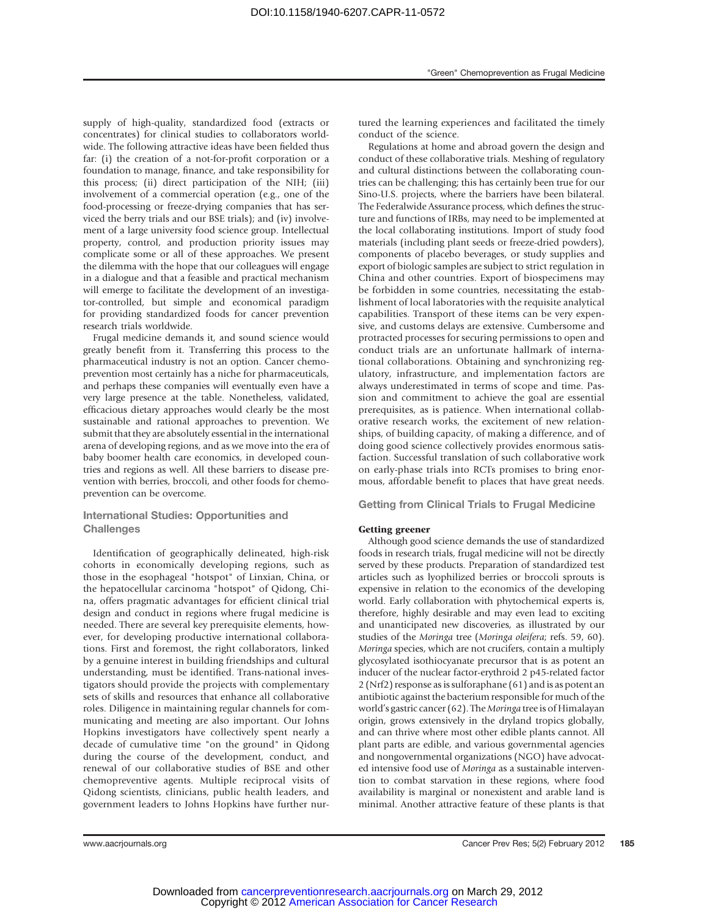supply of high-quality, standardized food (extracts or concentrates) for clinical studies to collaborators worldwide. The following attractive ideas have been fielded thus far: (i) the creation of a not-for-profit corporation or a foundation to manage, finance, and take responsibility for this process; (ii) direct participation of the NIH; (iii) involvement of a commercial operation (e.g., one of the food-processing or freeze-drying companies that has serviced the berry trials and our BSE trials); and (iv) involvement of a large university food science group. Intellectual property, control, and production priority issues may complicate some or all of these approaches. We present the dilemma with the hope that our colleagues will engage in a dialogue and that a feasible and practical mechanism will emerge to facilitate the development of an investigator-controlled, but simple and economical paradigm for providing standardized foods for cancer prevention research trials worldwide.

Frugal medicine demands it, and sound science would greatly benefit from it. Transferring this process to the pharmaceutical industry is not an option. Cancer chemoprevention most certainly has a niche for pharmaceuticals, and perhaps these companies will eventually even have a very large presence at the table. Nonetheless, validated, efficacious dietary approaches would clearly be the most sustainable and rational approaches to prevention. We submit that they are absolutely essential in the international arena of developing regions, and as we move into the era of baby boomer health care economics, in developed countries and regions as well. All these barriers to disease prevention with berries, broccoli, and other foods for chemoprevention can be overcome.

# International Studies: Opportunities and **Challenges**

Identification of geographically delineated, high-risk cohorts in economically developing regions, such as those in the esophageal "hotspot" of Linxian, China, or the hepatocellular carcinoma "hotspot" of Qidong, China, offers pragmatic advantages for efficient clinical trial design and conduct in regions where frugal medicine is needed. There are several key prerequisite elements, however, for developing productive international collaborations. First and foremost, the right collaborators, linked by a genuine interest in building friendships and cultural understanding, must be identified. Trans-national investigators should provide the projects with complementary sets of skills and resources that enhance all collaborative roles. Diligence in maintaining regular channels for communicating and meeting are also important. Our Johns Hopkins investigators have collectively spent nearly a decade of cumulative time "on the ground" in Qidong during the course of the development, conduct, and renewal of our collaborative studies of BSE and other chemopreventive agents. Multiple reciprocal visits of Qidong scientists, clinicians, public health leaders, and government leaders to Johns Hopkins have further nurtured the learning experiences and facilitated the timely conduct of the science.

Regulations at home and abroad govern the design and conduct of these collaborative trials. Meshing of regulatory and cultural distinctions between the collaborating countries can be challenging; this has certainly been true for our Sino-U.S. projects, where the barriers have been bilateral. The Federalwide Assurance process, which defines the structure and functions of IRBs, may need to be implemented at the local collaborating institutions. Import of study food materials (including plant seeds or freeze-dried powders), components of placebo beverages, or study supplies and export of biologic samples are subject to strict regulation in China and other countries. Export of biospecimens may be forbidden in some countries, necessitating the establishment of local laboratories with the requisite analytical capabilities. Transport of these items can be very expensive, and customs delays are extensive. Cumbersome and protracted processes for securing permissions to open and conduct trials are an unfortunate hallmark of international collaborations. Obtaining and synchronizing regulatory, infrastructure, and implementation factors are always underestimated in terms of scope and time. Passion and commitment to achieve the goal are essential prerequisites, as is patience. When international collaborative research works, the excitement of new relationships, of building capacity, of making a difference, and of doing good science collectively provides enormous satisfaction. Successful translation of such collaborative work on early-phase trials into RCTs promises to bring enormous, affordable benefit to places that have great needs.

Getting from Clinical Trials to Frugal Medicine

#### Getting greener

Although good science demands the use of standardized foods in research trials, frugal medicine will not be directly served by these products. Preparation of standardized test articles such as lyophilized berries or broccoli sprouts is expensive in relation to the economics of the developing world. Early collaboration with phytochemical experts is, therefore, highly desirable and may even lead to exciting and unanticipated new discoveries, as illustrated by our studies of the Moringa tree (Moringa oleifera; refs. 59, 60). Moringa species, which are not crucifers, contain a multiply glycosylated isothiocyanate precursor that is as potent an inducer of the nuclear factor-erythroid 2 p45-related factor 2 (Nrf2) response as is sulforaphane (61) and is as potent an antibiotic against the bacterium responsible for much of the world's gastric cancer (62). The Moringa tree is of Himalayan origin, grows extensively in the dryland tropics globally, and can thrive where most other edible plants cannot. All plant parts are edible, and various governmental agencies and nongovernmental organizations (NGO) have advocated intensive food use of Moringa as a sustainable intervention to combat starvation in these regions, where food availability is marginal or nonexistent and arable land is minimal. Another attractive feature of these plants is that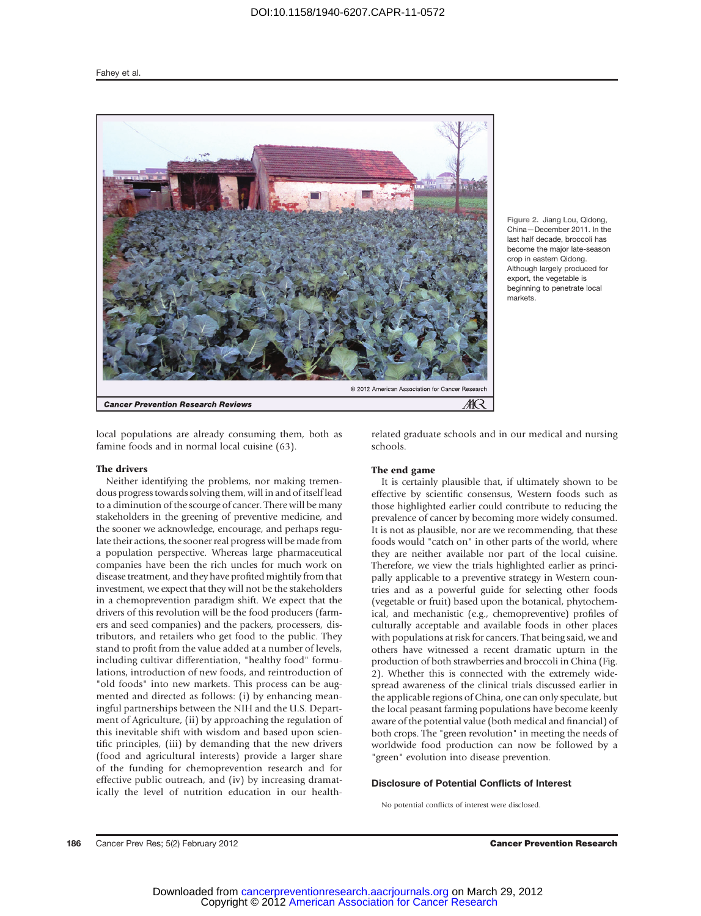

Figure 2. Jiang Lou, Qidong, China—December 2011. In the last half decade, broccoli has become the major late-season crop in eastern Qidong. Although largely produced for export, the vegetable is beginning to penetrate local markets.

local populations are already consuming them, both as famine foods and in normal local cuisine (63).

#### The drivers

Neither identifying the problems, nor making tremendous progress towards solving them, will in and of itself lead to a diminution of the scourge of cancer. There will be many stakeholders in the greening of preventive medicine, and the sooner we acknowledge, encourage, and perhaps regulate their actions, the sooner real progress will be made from a population perspective. Whereas large pharmaceutical companies have been the rich uncles for much work on disease treatment, and they have profited mightily from that investment, we expect that they will not be the stakeholders in a chemoprevention paradigm shift. We expect that the drivers of this revolution will be the food producers (farmers and seed companies) and the packers, processers, distributors, and retailers who get food to the public. They stand to profit from the value added at a number of levels, including cultivar differentiation, "healthy food" formulations, introduction of new foods, and reintroduction of "old foods" into new markets. This process can be augmented and directed as follows: (i) by enhancing meaningful partnerships between the NIH and the U.S. Department of Agriculture, (ii) by approaching the regulation of this inevitable shift with wisdom and based upon scientific principles, (iii) by demanding that the new drivers (food and agricultural interests) provide a larger share of the funding for chemoprevention research and for effective public outreach, and (iv) by increasing dramatically the level of nutrition education in our healthrelated graduate schools and in our medical and nursing schools.

#### The end game

It is certainly plausible that, if ultimately shown to be effective by scientific consensus, Western foods such as those highlighted earlier could contribute to reducing the prevalence of cancer by becoming more widely consumed. It is not as plausible, nor are we recommending, that these foods would "catch on" in other parts of the world, where they are neither available nor part of the local cuisine. Therefore, we view the trials highlighted earlier as principally applicable to a preventive strategy in Western countries and as a powerful guide for selecting other foods (vegetable or fruit) based upon the botanical, phytochemical, and mechanistic (e.g., chemopreventive) profiles of culturally acceptable and available foods in other places with populations at risk for cancers. That being said, we and others have witnessed a recent dramatic upturn in the production of both strawberries and broccoli in China (Fig. 2). Whether this is connected with the extremely widespread awareness of the clinical trials discussed earlier in the applicable regions of China, one can only speculate, but the local peasant farming populations have become keenly aware of the potential value (both medical and financial) of both crops. The "green revolution" in meeting the needs of worldwide food production can now be followed by a "green" evolution into disease prevention.

# Disclosure of Potential Conflicts of Interest

No potential conflicts of interest were disclosed.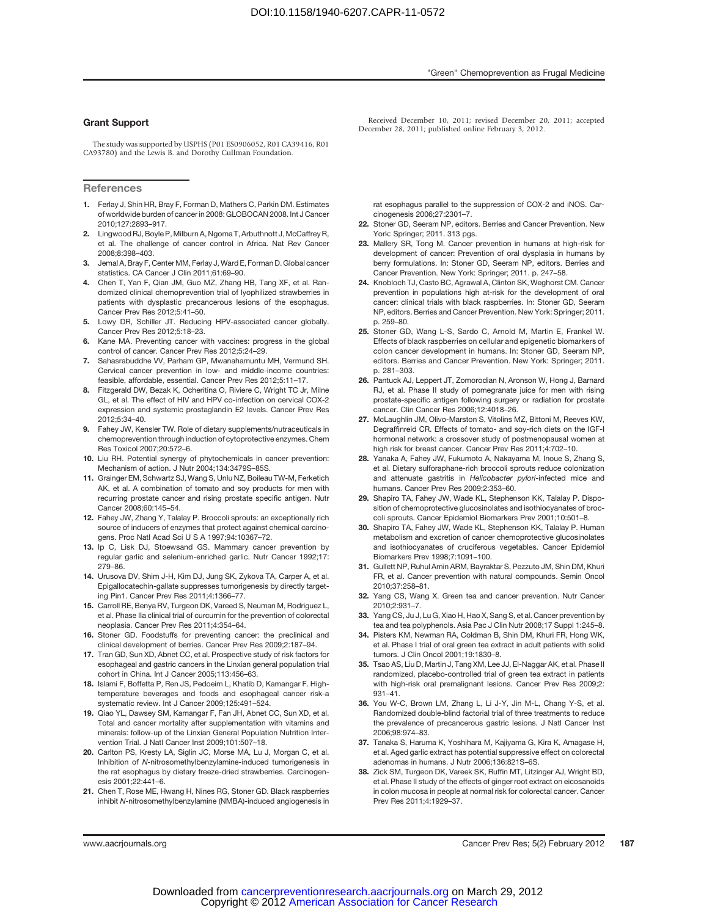# Grant Support

The study was supported by USPHS (P01 ES0906052, R01 CA39416, R01 CA93780) and the Lewis B. and Dorothy Cullman Foundation.

# **References**

- 1. Ferlay J, Shin HR, Bray F, Forman D, Mathers C, Parkin DM. Estimates of worldwide burden of cancer in 2008: GLOBOCAN 2008. Int J Cancer 2010;127:2893–917.
- 2. Lingwood RJ, Boyle P, Milburn A, Ngoma T, Arbuthnott J, McCaffrey R, et al. The challenge of cancer control in Africa. Nat Rev Cancer 2008;8:398–403.
- 3. Jemal A, Bray F, Center MM, Ferlay J, Ward E, Forman D. Global cancer statistics. CA Cancer J Clin 2011;61:69-90.
- 4. Chen T, Yan F, Qian JM, Guo MZ, Zhang HB, Tang XF, et al. Randomized clinical chemoprevention trial of lyophilized strawberries in patients with dysplastic precancerous lesions of the esophagus. Cancer Prev Res 2012;5:41–50.
- 5. Lowy DR, Schiller JT. Reducing HPV-associated cancer globally. Cancer Prev Res 2012;5:18–23.
- 6. Kane MA. Preventing cancer with vaccines: progress in the global control of cancer. Cancer Prev Res 2012;5:24–29.
- 7. Sahasrabuddhe VV, Parham GP, Mwanahamuntu MH, Vermund SH. Cervical cancer prevention in low- and middle-income countries: feasible, affordable, essential. Cancer Prev Res 2012;5:11–17.
- Fitzgerald DW, Bezak K, Ocheritina O, Riviere C, Wright TC Jr, Milne GL, et al. The effect of HIV and HPV co-infection on cervical COX-2 expression and systemic prostaglandin E2 levels. Cancer Prev Res 2012;5:34–40.
- 9. Fahey JW, Kensler TW. Role of dietary supplements/nutraceuticals in chemoprevention through induction of cytoprotective enzymes. Chem Res Toxicol 2007;20:572–6.
- 10. Liu RH. Potential synergy of phytochemicals in cancer prevention: Mechanism of action. J Nutr 2004;134:3479S–85S.
- 11. Grainger EM, Schwartz SJ, Wang S, Unlu NZ, Boileau TW-M, Ferketich AK, et al. A combination of tomato and soy products for men with recurring prostate cancer and rising prostate specific antigen. Nutr Cancer 2008;60:145–54.
- 12. Fahey JW, Zhang Y, Talalay P. Broccoli sprouts: an exceptionally rich source of inducers of enzymes that protect against chemical carcinogens. Proc Natl Acad Sci U S A 1997;94:10367–72.
- 13. Ip C, Lisk DJ, Stoewsand GS. Mammary cancer prevention by regular garlic and selenium-enriched garlic. Nutr Cancer 1992;17: 279–86.
- 14. Urusova DV, Shim J-H, Kim DJ, Jung SK, Zykova TA, Carper A, et al. Epigallocatechin-gallate suppresses tumorigenesis by directly targeting Pin1. Cancer Prev Res 2011;4:1366–77.
- 15. Carroll RE, Benya RV, Turgeon DK, Vareed S, Neuman M, Rodriguez L, et al. Phase IIa clinical trial of curcumin for the prevention of colorectal neoplasia. Cancer Prev Res 2011;4:354–64.
- 16. Stoner GD. Foodstuffs for preventing cancer: the preclinical and clinical development of berries. Cancer Prev Res 2009;2:187–94.
- 17. Tran GD, Sun XD, Abnet CC, et al. Prospective study of risk factors for esophageal and gastric cancers in the Linxian general population trial cohort in China. Int J Cancer 2005;113:456–63.
- 18. Islami F, Boffetta P, Ren JS, Pedoeim L, Khatib D, Kamangar F. Hightemperature beverages and foods and esophageal cancer risk-a systematic review. Int J Cancer 2009;125:491–524.
- 19. Qiao YL, Dawsey SM, Kamangar F, Fan JH, Abnet CC, Sun XD, et al. Total and cancer mortality after supplementation with vitamins and minerals: follow-up of the Linxian General Population Nutrition Intervention Trial. J Natl Cancer Inst 2009;101:507–18.
- 20. Carlton PS, Kresty LA, Siglin JC, Morse MA, Lu J, Morgan C, et al. Inhibition of N-nitrosomethylbenzylamine-induced tumorigenesis in the rat esophagus by dietary freeze-dried strawberries. Carcinogenesis 2001;22:441–6.
- 21. Chen T, Rose ME, Hwang H, Nines RG, Stoner GD. Black raspberries inhibit N-nitrosomethylbenzylamine (NMBA)-induced angiogenesis in

Received December 10, 2011; revised December 20, 2011; accepted December 28, 2011; published online February 3, 2012.

rat esophagus parallel to the suppression of COX-2 and iNOS. Carcinogenesis 2006;27:2301–7.

- 22. Stoner GD, Seeram NP, editors. Berries and Cancer Prevention. New York: Springer; 2011. 313 pgs.
- 23. Mallery SR, Tong M. Cancer prevention in humans at high-risk for development of cancer: Prevention of oral dysplasia in humans by berry formulations. In: Stoner GD, Seeram NP, editors. Berries and Cancer Prevention. New York: Springer; 2011. p. 247–58.
- 24. Knobloch TJ, Casto BC, Agrawal A, Clinton SK, Weghorst CM. Cancer prevention in populations high at-risk for the development of oral cancer: clinical trials with black raspberries. In: Stoner GD, Seeram NP, editors. Berries and Cancer Prevention. New York: Springer; 2011. p. 259–80.
- 25. Stoner GD, Wang L-S, Sardo C, Arnold M, Martin E, Frankel W. Effects of black raspberries on cellular and epigenetic biomarkers of colon cancer development in humans. In: Stoner GD, Seeram NP, editors. Berries and Cancer Prevention. New York: Springer; 2011. p. 281–303.
- 26. Pantuck AJ, Leppert JT, Zomorodian N, Aronson W, Hong J, Barnard RJ, et al. Phase II study of pomegranate juice for men with rising prostate-specific antigen following surgery or radiation for prostate cancer. Clin Cancer Res 2006;12:4018–26.
- 27. McLaughlin JM, Olivo-Marston S, Vitolins MZ, Bittoni M, Reeves KW, Degraffinreid CR. Effects of tomato- and soy-rich diets on the IGF-I hormonal network: a crossover study of postmenopausal women at high risk for breast cancer. Cancer Prev Res 2011;4:702–10.
- 28. Yanaka A, Fahey JW, Fukumoto A, Nakayama M, Inoue S, Zhang S, et al. Dietary sulforaphane-rich broccoli sprouts reduce colonization and attenuate gastritis in Helicobacter pylori-infected mice and humans. Cancer Prev Res 2009;2:353–60.
- 29. Shapiro TA, Fahey JW, Wade KL, Stephenson KK, Talalay P. Disposition of chemoprotective glucosinolates and isothiocyanates of broccoli sprouts. Cancer Epidemiol Biomarkers Prev 2001;10:501–8.
- 30. Shapiro TA, Fahey JW, Wade KL, Stephenson KK, Talalay P. Human metabolism and excretion of cancer chemoprotective glucosinolates and isothiocyanates of cruciferous vegetables. Cancer Epidemiol Biomarkers Prev 1998;7:1091–100.
- 31. Gullett NP, Ruhul Amin ARM, Bayraktar S, Pezzuto JM, Shin DM, Khuri FR, et al. Cancer prevention with natural compounds. Semin Oncol 2010;37:258–81.
- 32. Yang CS, Wang X. Green tea and cancer prevention. Nutr Cancer 2010;2:931–7.
- 33. Yang CS, Ju J, Lu G, Xiao H, Hao X, Sang S, et al. Cancer prevention by tea and tea polyphenols. Asia Pac J Clin Nutr 2008;17 Suppl 1:245–8.
- 34. Pisters KM, Newman RA, Coldman B, Shin DM, Khuri FR, Hong WK, et al. Phase I trial of oral green tea extract in adult patients with solid tumors. J Clin Oncol 2001;19:1830–8.
- 35. Tsao AS, Liu D, Martin J, Tang XM, Lee JJ, El-Naggar AK, et al. Phase II randomized, placebo-controlled trial of green tea extract in patients with high-risk oral premalignant lesions. Cancer Prev Res 2009;2: 931–41.
- 36. You W-C, Brown LM, Zhang L, Li J-Y, Jin M-L, Chang Y-S, et al. Randomized double-blind factorial trial of three treatments to reduce the prevalence of precancerous gastric lesions. J Natl Cancer Inst 2006;98:974–83.
- 37. Tanaka S, Haruma K, Yoshihara M, Kajiyama G, Kira K, Amagase H, et al. Aged garlic extract has potential suppressive effect on colorectal adenomas in humans. J Nutr 2006;136:821S–6S.
- 38. Zick SM, Turgeon DK, Vareek SK, Ruffin MT, Litzinger AJ, Wright BD, et al. Phase II study of the effects of ginger root extract on eicosanoids in colon mucosa in people at normal risk for colorectal cancer. Cancer Prev Res 2011;4:1929–37.